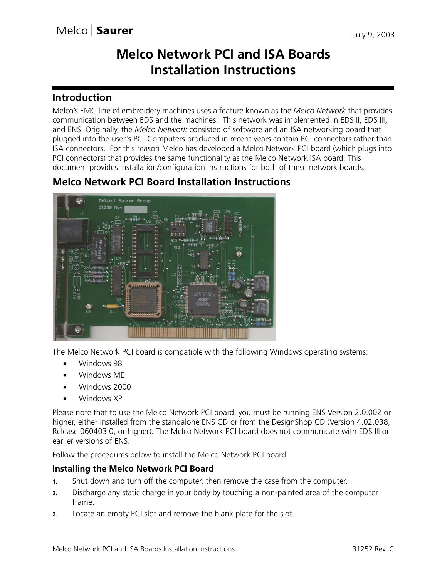# **Melco Network PCI and ISA Boards Installation Instructions**

## **Introduction**

Melco's EMC line of embroidery machines uses a feature known as the *Melco Network* that provides communication between EDS and the machines. This network was implemented in EDS II, EDS III, and ENS. Originally, the *Melco Network* consisted of software and an ISA networking board that plugged into the user's PC. Computers produced in recent years contain PCI connectors rather than ISA connectors. For this reason Melco has developed a Melco Network PCI board (which plugs into PCI connectors) that provides the same functionality as the Melco Network ISA board. This document provides installation/configuration instructions for both of these network boards.

# **Melco Network PCI Board Installation Instructions**



The Melco Network PCI board is compatible with the following Windows operating systems:

- **•** Windows 98
- **•** Windows ME
- **•** Windows 2000
- **•** Windows XP

Please note that to use the Melco Network PCI board, you must be running ENS Version 2.0.002 or higher, either installed from the standalone ENS CD or from the DesignShop CD (Version 4.02.038, Release 060403.0, or higher). The Melco Network PCI board does not communicate with EDS III or earlier versions of ENS.

Follow the procedures below to install the Melco Network PCI board.

## **Installing the Melco Network PCI Board**

- **1.** Shut down and turn off the computer, then remove the case from the computer.
- **2.** Discharge any static charge in your body by touching a non-painted area of the computer frame.
- **3.** Locate an empty PCI slot and remove the blank plate for the slot.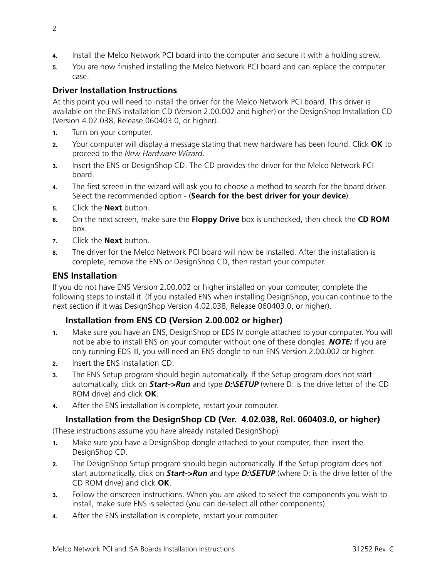- **4.** Install the Melco Network PCI board into the computer and secure it with a holding screw.
- **5.** You are now finished installing the Melco Network PCI board and can replace the computer case.

## **Driver Installation Instructions**

At this point you will need to install the driver for the Melco Network PCI board. This driver is available on the ENS Installation CD (Version 2.00.002 and higher) or the DesignShop Installation CD (Version 4.02.038, Release 060403.0, or higher).

- **1.** Turn on your computer.
- **2.** Your computer will display a message stating that new hardware has been found. Click **OK** to proceed to the *New Hardware Wizard*.
- **3.** Insert the ENS or DesignShop CD. The CD provides the driver for the Melco Network PCI board.
- **4.** The first screen in the wizard will ask you to choose a method to search for the board driver. Select the recommended option - (**Search for the best driver for your device**).
- **5.** Click the **Next** button.
- **6.** On the next screen, make sure the **Floppy Drive** box is unchecked, then check the **CD ROM** box.
- **7.** Click the **Next** button.
- **8.** The driver for the Melco Network PCI board will now be installed. After the installation is complete, remove the ENS or DesignShop CD, then restart your computer.

## **ENS Installation**

If you do not have ENS Version 2.00.002 or higher installed on your computer, complete the following steps to install it. (If you installed ENS when installing DesignShop, you can continue to the next section if it was DesignShop Version 4.02.038, Release 060403.0, or higher).

## **Installation from ENS CD (Version 2.00.002 or higher)**

- **1.** Make sure you have an ENS, DesignShop or EDS IV dongle attached to your computer. You will not be able to install ENS on your computer without one of these dongles. *NOTE:* If you are only running EDS III, you will need an ENS dongle to run ENS Version 2.00.002 or higher.
- **2.** Insert the ENS Installation CD.
- **3.** The ENS Setup program should begin automatically. If the Setup program does not start automatically, click on *Start->Run* and type *D:\SETUP* (where D: is the drive letter of the CD ROM drive) and click **OK**.
- **4.** After the ENS installation is complete, restart your computer.

## **Installation from the DesignShop CD (Ver. 4.02.038, Rel. 060403.0, or higher)**

(These instructions assume you have already installed DesignShop)

- **1.** Make sure you have a DesignShop dongle attached to your computer, then insert the DesignShop CD.
- **2.** The DesignShop Setup program should begin automatically. If the Setup program does not start automatically, click on *Start->Run* and type *D:\SETUP* (where D: is the drive letter of the CD ROM drive) and click **OK**.
- **3.** Follow the onscreen instructions. When you are asked to select the components you wish to install, make sure ENS is selected (you can de-select all other components).
- **4.** After the ENS installation is complete, restart your computer.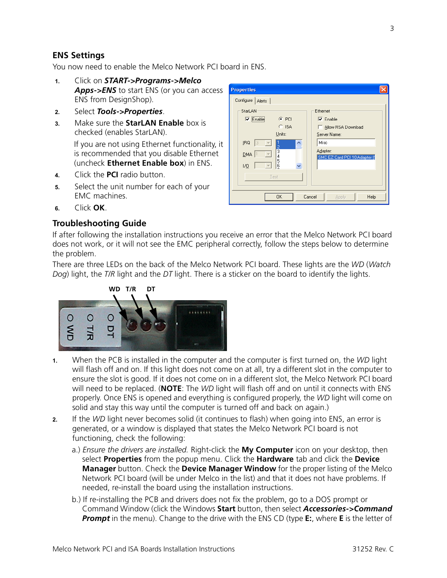## **ENS Settings**

You now need to enable the Melco Network PCI board in ENS.

- **1.** Click on *START->Programs->Melco Apps->ENS* to start ENS (or you can access ENS from DesignShop).
- **2.** Select *Tools->Properties*.
- **3.** Make sure the **StarLAN Enable** box is checked (enables StarLAN).

If you are not using Ethernet functionality, it is recommended that you disable Ethernet (uncheck **Ethernet Enable box**) in ENS.

- **4.** Click the **PCI** radio button.
- **5.** Select the unit number for each of your EMC machines.
- **6.** Click **OK**.

#### **Troubleshooting Guide**

**Properties** Configure | Alerts | StarLAN-Ethernet  $\odot$  PCI  $\overline{\mathbf{v}}$  Enable  $\nabla$  Enable  $C$  ISA Allow RSA Download Units: Server Name:  $IRQ$  3 Misc  $\vert \nabla \vert$ Adapter:  $\frac{3}{4}$  $\boxed{\mathbf{v}}$  $DMA$  1 SMC EZ Card PCI 10 Adapter  $\frac{5}{6}$  $\overline{\mathbb{F}}$ vo 1 Test **OK** Cancel Applu Help

If after following the installation instructions you receive an error that the Melco Network PCI board does not work, or it will not see the EMC peripheral correctly, follow the steps below to determine the problem.

There are three LEDs on the back of the Melco Network PCI board. These lights are the *WD* (*Watch Dog*) light, the *T/R* light and the *DT* light. There is a sticker on the board to identify the lights.



- **1.** When the PCB is installed in the computer and the computer is first turned on, the *WD* light will flash off and on. If this light does not come on at all, try a different slot in the computer to ensure the slot is good. If it does not come on in a different slot, the Melco Network PCI board will need to be replaced. (**NOTE**: The *WD* light will flash off and on until it connects with ENS properly. Once ENS is opened and everything is configured properly, the *WD* light will come on solid and stay this way until the computer is turned off and back on again.)
- **2.** If the *WD* light never becomes solid (it continues to flash) when going into ENS, an error is generated, or a window is displayed that states the Melco Network PCI board is not functioning, check the following:
	- a.) *Ensure the drivers are installed.* Right-click the **My Computer** icon on your desktop, then select **Properties** from the popup menu. Click the **Hardware** tab and click the **Device Manager** button. Check the **Device Manager Window** for the proper listing of the Melco Network PCI board (will be under Melco in the list) and that it does not have problems. If needed, re-install the board using the installation instructions.
	- b.) If re-installing the PCB and drivers does not fix the problem, go to a DOS prompt or Command Window (click the Windows **Start** button, then select *Accessories->Command Prompt* in the menu). Change to the drive with the ENS CD (type **E:**, where **E** is the letter of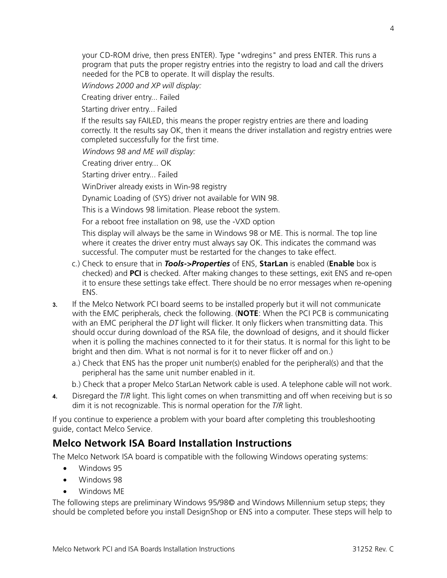your CD-ROM drive, then press ENTER). Type "wdregins" and press ENTER. This runs a program that puts the proper registry entries into the registry to load and call the drivers needed for the PCB to operate. It will display the results.

*Windows 2000 and XP will display:*

Creating driver entry... Failed

Starting driver entry... Failed

If the results say FAILED, this means the proper registry entries are there and loading correctly. It the results say OK, then it means the driver installation and registry entries were completed successfully for the first time.

*Windows 98 and ME will display:*

Creating driver entry... OK

Starting driver entry... Failed

WinDriver already exists in Win-98 registry

Dynamic Loading of (SYS) driver not available for WIN 98.

This is a Windows 98 limitation. Please reboot the system.

For a reboot free installation on 98, use the -VXD option

This display will always be the same in Windows 98 or ME. This is normal. The top line where it creates the driver entry must always say OK. This indicates the command was successful. The computer must be restarted for the changes to take effect.

- c.) Check to ensure that in *Tools->Properties* of ENS, **StarLan** is enabled (**Enable** box is checked) and **PCI** is checked. After making changes to these settings, exit ENS and re-open it to ensure these settings take effect. There should be no error messages when re-opening ENS.
- **3.** If the Melco Network PCI board seems to be installed properly but it will not communicate with the EMC peripherals, check the following. (**NOTE**: When the PCI PCB is communicating with an EMC peripheral the *DT* light will flicker. It only flickers when transmitting data. This should occur during download of the RSA file, the download of designs, and it should flicker when it is polling the machines connected to it for their status. It is normal for this light to be bright and then dim. What is not normal is for it to never flicker off and on.)
	- a.) Check that ENS has the proper unit number(s) enabled for the peripheral(s) and that the peripheral has the same unit number enabled in it.
	- b.) Check that a proper Melco StarLan Network cable is used. A telephone cable will not work.
- **4.** Disregard the *T/R* light. This light comes on when transmitting and off when receiving but is so dim it is not recognizable. This is normal operation for the *T/R* light.

If you continue to experience a problem with your board after completing this troubleshooting guide, contact Melco Service.

## **Melco Network ISA Board Installation Instructions**

The Melco Network ISA board is compatible with the following Windows operating systems:

- **•** Windows 95
- **•** Windows 98
- **•** Windows ME

The following steps are preliminary Windows 95/98© and Windows Millennium setup steps; they should be completed before you install DesignShop or ENS into a computer. These steps will help to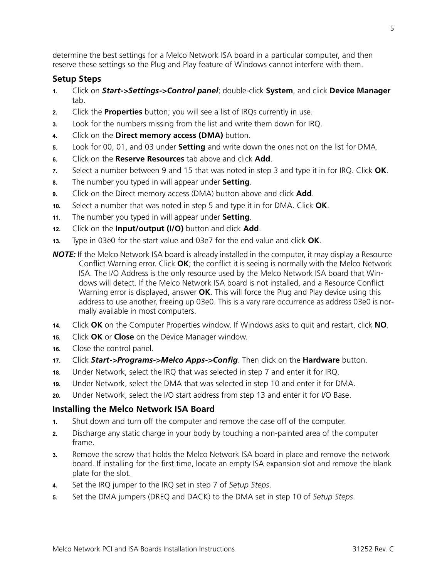determine the best settings for a Melco Network ISA board in a particular computer, and then reserve these settings so the Plug and Play feature of Windows cannot interfere with them.

#### **Setup Steps**

- **1.** Click on *Start->Settings->Control panel*; double-click **System**, and click **Device Manager** tab.
- **2.** Click the **Properties** button; you will see a list of IRQs currently in use.
- **3.** Look for the numbers missing from the list and write them down for IRQ.
- **4.** Click on the **Direct memory access (DMA)** button.
- **5.** Look for 00, 01, and 03 under **Setting** and write down the ones not on the list for DMA.
- **6.** Click on the **Reserve Resources** tab above and click **Add**.
- **7.** Select a number between 9 and 15 that was noted in step 3 and type it in for IRQ. Click **OK**.
- **8.** The number you typed in will appear under **Setting**.
- **9.** Click on the Direct memory access (DMA) button above and click **Add**.
- **10.** Select a number that was noted in step 5 and type it in for DMA. Click **OK**.
- **11.** The number you typed in will appear under **Setting**.
- **12.** Click on the **Input/output (I/O)** button and click **Add**.
- **13.** Type in 03e0 for the start value and 03e7 for the end value and click **OK**.
- *NOTE:* If the Melco Network ISA board is already installed in the computer, it may display a Resource Conflict Warning error. Click **OK**; the conflict it is seeing is normally with the Melco Network ISA. The I/O Address is the only resource used by the Melco Network ISA board that Windows will detect. If the Melco Network ISA board is not installed, and a Resource Conflict Warning error is displayed, answer **OK**. This will force the Plug and Play device using this address to use another, freeing up 03e0. This is a vary rare occurrence as address 03e0 is normally available in most computers.
- **14.** Click **OK** on the Computer Properties window. If Windows asks to quit and restart, click **NO**.
- **15.** Click **OK** or **Close** on the Device Manager window.
- **16.** Close the control panel.
- **17.** Click *Start->Programs->Melco Apps->Config*. Then click on the **Hardware** button.
- **18.** Under Network, select the IRQ that was selected in step 7 and enter it for IRQ.
- **19.** Under Network, select the DMA that was selected in step 10 and enter it for DMA.
- **20.** Under Network, select the I/O start address from step 13 and enter it for I/O Base.

## **Installing the Melco Network ISA Board**

- **1.** Shut down and turn off the computer and remove the case off of the computer.
- **2.** Discharge any static charge in your body by touching a non-painted area of the computer frame.
- **3.** Remove the screw that holds the Melco Network ISA board in place and remove the network board. If installing for the first time, locate an empty ISA expansion slot and remove the blank plate for the slot.
- **4.** Set the IRQ jumper to the IRQ set in step 7 of *Setup Steps*.
- **5.** Set the DMA jumpers (DREQ and DACK) to the DMA set in step 10 of *Setup Steps*.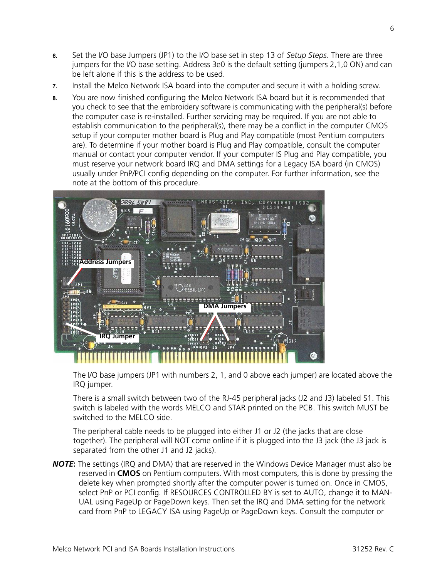- **6.** Set the I/O base Jumpers (JP1) to the I/O base set in step 13 of *Setup Steps*. There are three jumpers for the I/O base setting. Address 3e0 is the default setting (jumpers 2,1,0 ON) and can be left alone if this is the address to be used.
- **7.** Install the Melco Network ISA board into the computer and secure it with a holding screw.
- **8.** You are now finished configuring the Melco Network ISA board but it is recommended that you check to see that the embroidery software is communicating with the peripheral(s) before the computer case is re-installed. Further servicing may be required. If you are not able to establish communication to the peripheral(s), there may be a conflict in the computer CMOS setup if your computer mother board is Plug and Play compatible (most Pentium computers are). To determine if your mother board is Plug and Play compatible, consult the computer manual or contact your computer vendor. If your computer IS Plug and Play compatible, you must reserve your network board IRQ and DMA settings for a Legacy ISA board (in CMOS) usually under PnP/PCI config depending on the computer. For further information, see the note at the bottom of this procedure.



The I/O base jumpers (JP1 with numbers 2, 1, and 0 above each jumper) are located above the IRQ jumper.

There is a small switch between two of the RJ-45 peripheral jacks (J2 and J3) labeled S1. This switch is labeled with the words MELCO and STAR printed on the PCB. This switch MUST be switched to the MELCO side.

The peripheral cable needs to be plugged into either J1 or J2 (the jacks that are close together). The peripheral will NOT come online if it is plugged into the J3 jack (the J3 jack is separated from the other J1 and J2 jacks).

*NOTE***:** The settings (IRQ and DMA) that are reserved in the Windows Device Manager must also be reserved in **CMOS** on Pentium computers. With most computers, this is done by pressing the delete key when prompted shortly after the computer power is turned on. Once in CMOS, select PnP or PCI config. If RESOURCES CONTROLLED BY is set to AUTO, change it to MAN-UAL using PageUp or PageDown keys. Then set the IRQ and DMA setting for the network card from PnP to LEGACY ISA using PageUp or PageDown keys. Consult the computer or